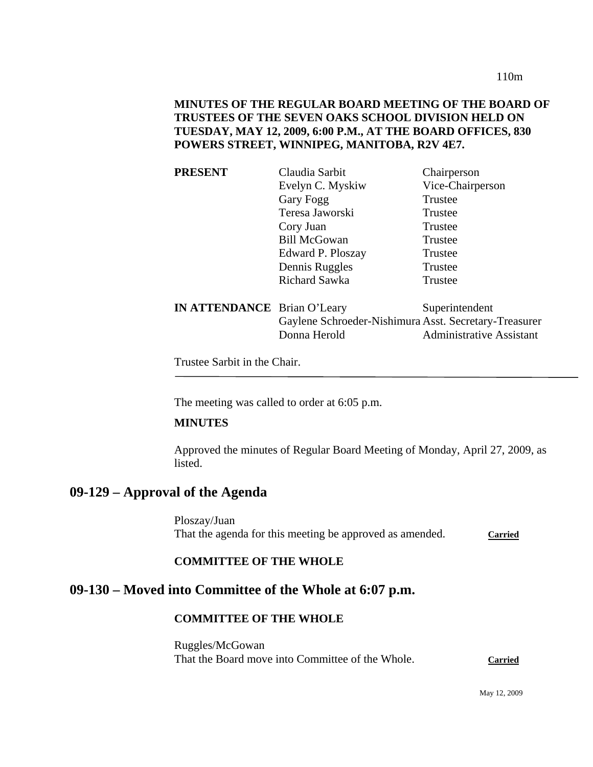110m

## **MINUTES OF THE REGULAR BOARD MEETING OF THE BOARD OF TRUSTEES OF THE SEVEN OAKS SCHOOL DIVISION HELD ON TUESDAY, MAY 12, 2009, 6:00 P.M., AT THE BOARD OFFICES, 830 POWERS STREET, WINNIPEG, MANITOBA, R2V 4E7.**

| <b>PRESENT</b>                     | Claudia Sarbit                                        | Chairperson                     |
|------------------------------------|-------------------------------------------------------|---------------------------------|
|                                    | Evelyn C. Myskiw                                      | Vice-Chairperson                |
|                                    | Gary Fogg                                             | Trustee                         |
|                                    | Teresa Jaworski                                       | Trustee                         |
|                                    | Cory Juan                                             | Trustee                         |
|                                    | <b>Bill McGowan</b>                                   | Trustee                         |
|                                    | Edward P. Ploszay                                     | Trustee                         |
|                                    | Dennis Ruggles                                        | Trustee                         |
|                                    | Richard Sawka                                         | Trustee                         |
| <b>IN ATTENDANCE</b> Brian O'Leary |                                                       | Superintendent                  |
|                                    | Gaylene Schroeder-Nishimura Asst. Secretary-Treasurer |                                 |
|                                    | Donna Herold                                          | <b>Administrative Assistant</b> |

Trustee Sarbit in the Chair.

The meeting was called to order at 6:05 p.m.

## **MINUTES**

Approved the minutes of Regular Board Meeting of Monday, April 27, 2009, as listed.

# **09-129 – Approval of the Agenda**

Ploszay/Juan That the agenda for this meeting be approved as amended. Carried

### **COMMITTEE OF THE WHOLE**

# **09-130 – Moved into Committee of the Whole at 6:07 p.m.**

# **COMMITTEE OF THE WHOLE**

Ruggles/McGowan That the Board move into Committee of the Whole. **Carried**

May 12, 2009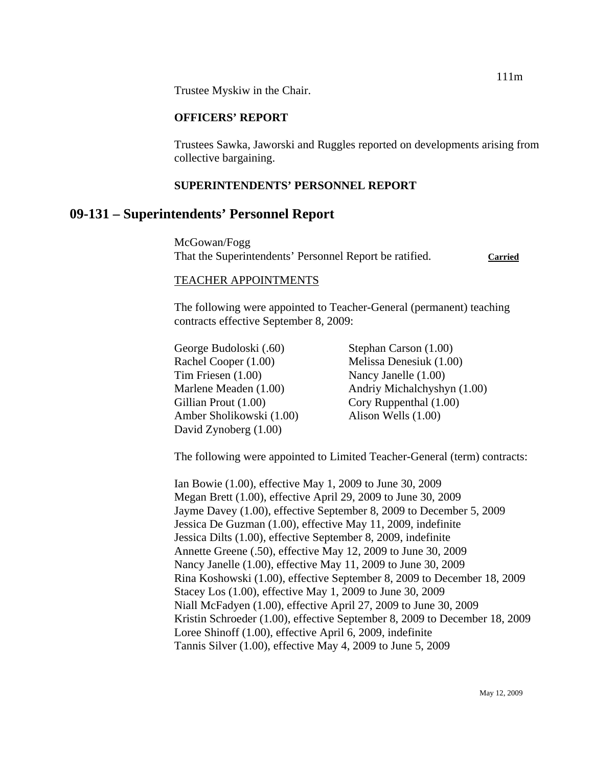Trustee Myskiw in the Chair.

### **OFFICERS' REPORT**

Trustees Sawka, Jaworski and Ruggles reported on developments arising from collective bargaining.

### **SUPERINTENDENTS' PERSONNEL REPORT**

# **09-131 – Superintendents' Personnel Report**

McGowan/Fogg That the Superintendents' Personnel Report be ratified. **Carried**

#### TEACHER APPOINTMENTS

The following were appointed to Teacher-General (permanent) teaching contracts effective September 8, 2009:

George Budoloski (.60) Stephan Carson (1.00) Rachel Cooper (1.00) Melissa Denesiuk (1.00) Tim Friesen (1.00) Nancy Janelle (1.00) Gillian Prout (1.00) Cory Ruppenthal (1.00) Amber Sholikowski (1.00) Alison Wells (1.00) David Zynoberg (1.00)

Marlene Meaden (1.00) Andriy Michalchyshyn (1.00)

The following were appointed to Limited Teacher-General (term) contracts:

Ian Bowie (1.00), effective May 1, 2009 to June 30, 2009 Megan Brett (1.00), effective April 29, 2009 to June 30, 2009 Jayme Davey (1.00), effective September 8, 2009 to December 5, 2009 Jessica De Guzman (1.00), effective May 11, 2009, indefinite Jessica Dilts (1.00), effective September 8, 2009, indefinite Annette Greene (.50), effective May 12, 2009 to June 30, 2009 Nancy Janelle (1.00), effective May 11, 2009 to June 30, 2009 Rina Koshowski (1.00), effective September 8, 2009 to December 18, 2009 Stacey Los (1.00), effective May 1, 2009 to June 30, 2009 Niall McFadyen (1.00), effective April 27, 2009 to June 30, 2009 Kristin Schroeder (1.00), effective September 8, 2009 to December 18, 2009 Loree Shinoff (1.00), effective April 6, 2009, indefinite Tannis Silver (1.00), effective May 4, 2009 to June 5, 2009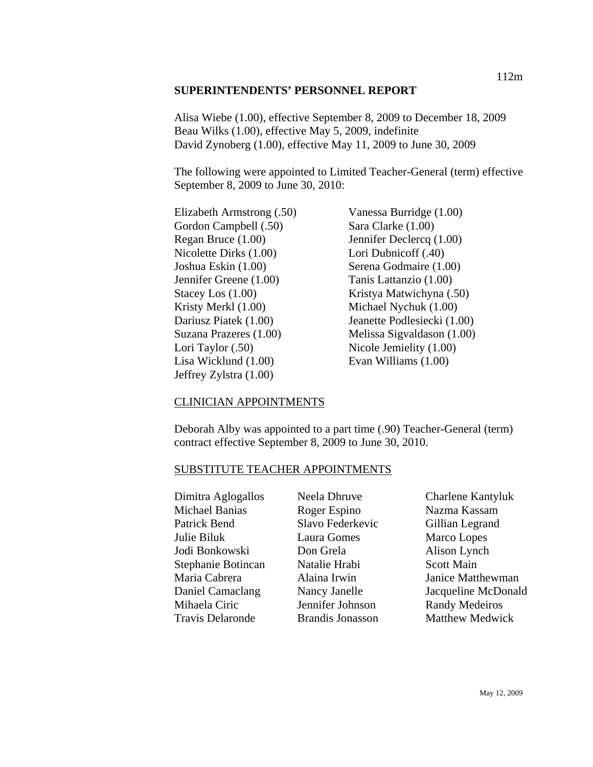### **SUPERINTENDENTS' PERSONNEL REPORT**

Alisa Wiebe (1.00), effective September 8, 2009 to December 18, 2009 Beau Wilks (1.00), effective May 5, 2009, indefinite David Zynoberg (1.00), effective May 11, 2009 to June 30, 2009

The following were appointed to Limited Teacher-General (term) effective September 8, 2009 to June 30, 2010:

Gordon Campbell (.50) Sara Clarke (1.00) Regan Bruce (1.00) Jennifer Declercq (1.00) Nicolette Dirks (1.00) Lori Dubnicoff (.40) Joshua Eskin (1.00) Serena Godmaire (1.00) Jennifer Greene (1.00) Tanis Lattanzio (1.00) Kristy Merkl (1.00) Michael Nychuk (1.00) Lori Taylor (.50) Nicole Jemielity (1.00) Lisa Wicklund (1.00) Evan Williams (1.00) Jeffrey Zylstra (1.00)

Elizabeth Armstrong (.50) Vanessa Burridge (1.00) Stacey Los (1.00) Kristya Matwichyna (.50) Dariusz Piatek (1.00) Jeanette Podlesiecki (1.00) Suzana Prazeres (1.00) Melissa Sigvaldason (1.00)

### CLINICIAN APPOINTMENTS

Deborah Alby was appointed to a part time (.90) Teacher-General (term) contract effective September 8, 2009 to June 30, 2010.

#### SUBSTITUTE TEACHER APPOINTMENTS

Dimitra Aglogallos Michael Banias Patrick Bend Julie Biluk Jodi Bonkowski Stephanie Botincan Maria Cabrera Daniel Camaclang Mihaela Ciric Travis Delaronde

Neela Dhruve Roger Espino Slavo Federkevic Laura Gomes Don Grela Natalie Hrabi Alaina Irwin Nancy Janelle Jennifer Johnson Brandis Jonasson

Charlene Kantyluk Nazma Kassam Gillian Legrand Marco Lopes Alison Lynch Scott Main Janice Matthewman Jacqueline McDonald Randy Medeiros Matthew Medwick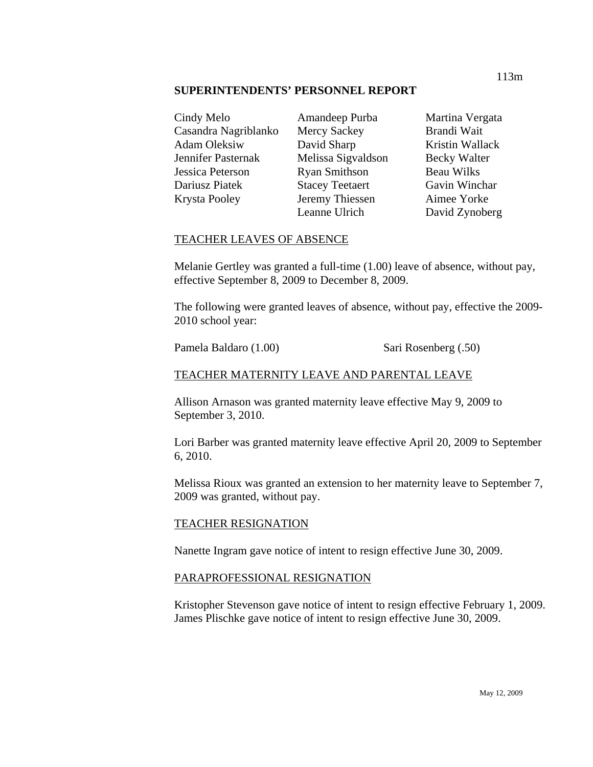#### **SUPERINTENDENTS' PERSONNEL REPORT**

| Cindy Melo                |
|---------------------------|
| Casandra Nagriblanko      |
| <b>Adam Oleksiw</b>       |
| <b>Jennifer Pasternak</b> |
| <b>Jessica Peterson</b>   |
| Dariusz Piatek            |
| Krysta Pooley             |
|                           |

Amandeep Purba Mercy Sackey David Sharp Melissa Sigvaldson Ryan Smithson Stacey Teetaert Jeremy Thiessen Leanne Ulrich

Martina Vergata Brandi Wait Kristin Wallack Becky Walter Beau Wilks Gavin Winchar Aimee Yorke David Zynoberg

## TEACHER LEAVES OF ABSENCE

Melanie Gertley was granted a full-time (1.00) leave of absence, without pay, effective September 8, 2009 to December 8, 2009.

The following were granted leaves of absence, without pay, effective the 2009- 2010 school year:

Pamela Baldaro (1.00) Sari Rosenberg (.50)

## TEACHER MATERNITY LEAVE AND PARENTAL LEAVE

Allison Arnason was granted maternity leave effective May 9, 2009 to September 3, 2010.

Lori Barber was granted maternity leave effective April 20, 2009 to September 6, 2010.

Melissa Rioux was granted an extension to her maternity leave to September 7, 2009 was granted, without pay.

### TEACHER RESIGNATION

Nanette Ingram gave notice of intent to resign effective June 30, 2009.

### PARAPROFESSIONAL RESIGNATION

Kristopher Stevenson gave notice of intent to resign effective February 1, 2009. James Plischke gave notice of intent to resign effective June 30, 2009.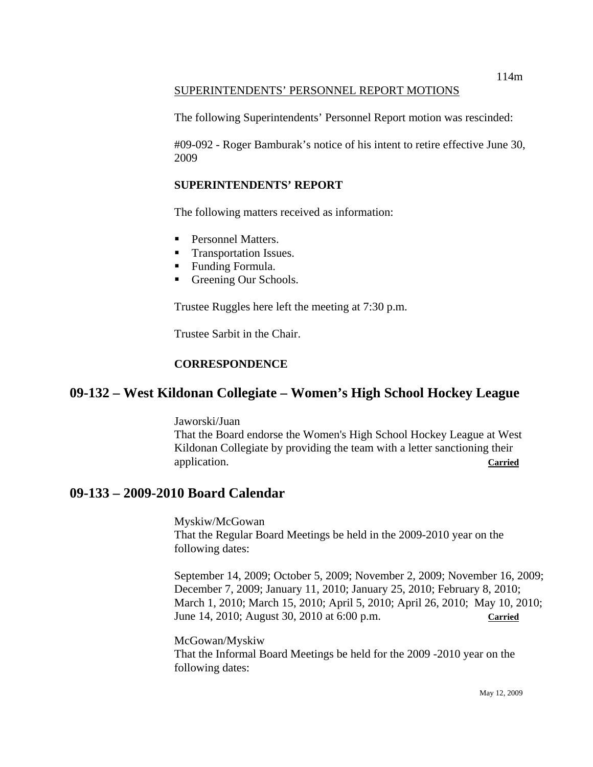## SUPERINTENDENTS' PERSONNEL REPORT MOTIONS

The following Superintendents' Personnel Report motion was rescinded:

#09-092 - Roger Bamburak's notice of his intent to retire effective June 30, 2009

## **SUPERINTENDENTS' REPORT**

The following matters received as information:

- **Personnel Matters.**
- **Transportation Issues.**
- **Funding Formula.**
- Greening Our Schools.

Trustee Ruggles here left the meeting at 7:30 p.m.

Trustee Sarbit in the Chair.

## **CORRESPONDENCE**

# **09-132 – West Kildonan Collegiate – Women's High School Hockey League**

Jaworski/Juan That the Board endorse the Women's High School Hockey League at West Kildonan Collegiate by providing the team with a letter sanctioning their application. **Carried**

# **09-133 – 2009-2010 Board Calendar**

Myskiw/McGowan That the Regular Board Meetings be held in the 2009-2010 year on the following dates:

September 14, 2009; October 5, 2009; November 2, 2009; November 16, 2009; December 7, 2009; January 11, 2010; January 25, 2010; February 8, 2010; March 1, 2010; March 15, 2010; April 5, 2010; April 26, 2010; May 10, 2010; June 14, 2010; August 30, 2010 at 6:00 p.m. **Carried**

McGowan/Myskiw That the Informal Board Meetings be held for the 2009 -2010 year on the following dates: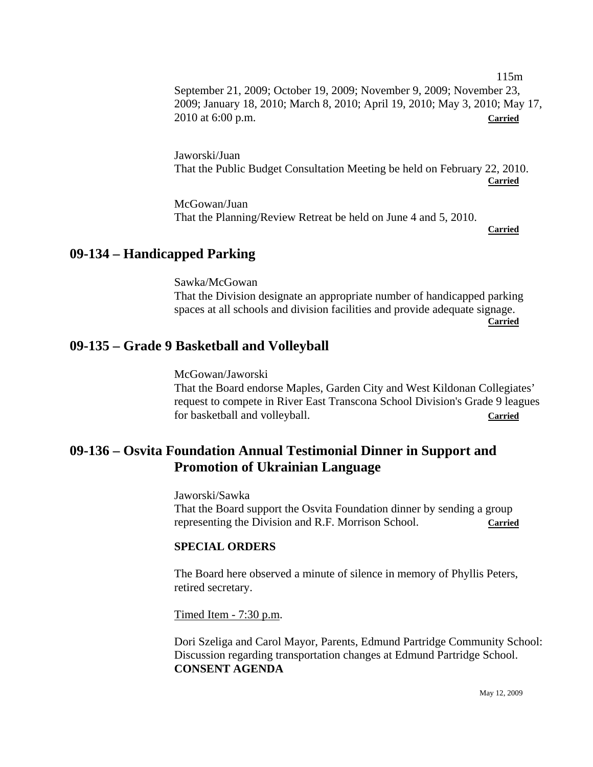September 21, 2009; October 19, 2009; November 9, 2009; November 23, 2009; January 18, 2010; March 8, 2010; April 19, 2010; May 3, 2010; May 17, 2010 at 6:00 p.m. **Carried**

Jaworski/Juan That the Public Budget Consultation Meeting be held on February 22, 2010. **Carried** 

McGowan/Juan That the Planning/Review Retreat be held on June 4 and 5, 2010. **Carried** 

115m

# **09-134 – Handicapped Parking**

Sawka/McGowan That the Division designate an appropriate number of handicapped parking spaces at all schools and division facilities and provide adequate signage. **Carried** 

# **09-135 – Grade 9 Basketball and Volleyball**

McGowan/Jaworski That the Board endorse Maples, Garden City and West Kildonan Collegiates' request to compete in River East Transcona School Division's Grade 9 leagues for basketball and volleyball. **Carried**

# **09-136 – Osvita Foundation Annual Testimonial Dinner in Support and Promotion of Ukrainian Language**

Jaworski/Sawka That the Board support the Osvita Foundation dinner by sending a group representing the Division and R.F. Morrison School. **Carried**

### **SPECIAL ORDERS**

The Board here observed a minute of silence in memory of Phyllis Peters, retired secretary.

Timed Item - 7:30 p.m.

Dori Szeliga and Carol Mayor, Parents, Edmund Partridge Community School: Discussion regarding transportation changes at Edmund Partridge School. **CONSENT AGENDA**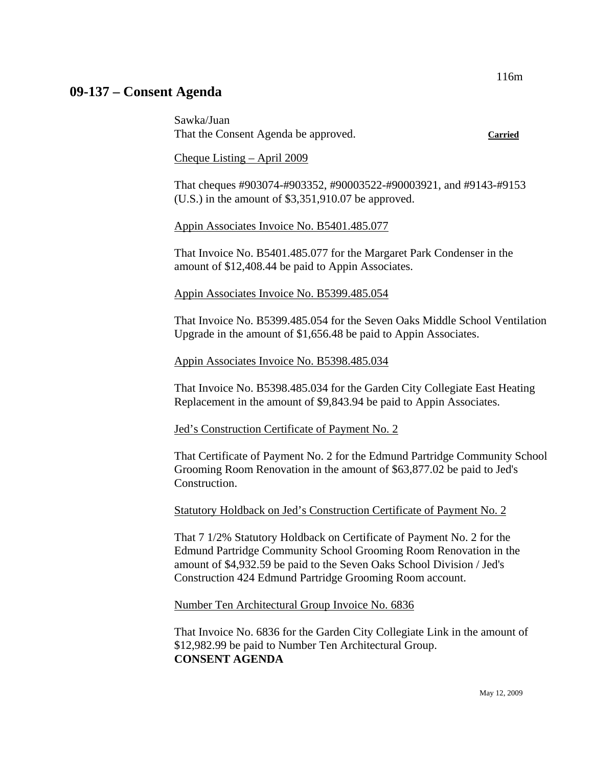# **09-137 – Consent Agenda**

Sawka/Juan That the Consent Agenda be approved. **Carried**

Cheque Listing – April 2009

That cheques #903074-#903352, #90003522-#90003921, and #9143-#9153 (U.S.) in the amount of \$3,351,910.07 be approved.

### Appin Associates Invoice No. B5401.485.077

That Invoice No. B5401.485.077 for the Margaret Park Condenser in the amount of \$12,408.44 be paid to Appin Associates.

### Appin Associates Invoice No. B5399.485.054

That Invoice No. B5399.485.054 for the Seven Oaks Middle School Ventilation Upgrade in the amount of \$1,656.48 be paid to Appin Associates.

### Appin Associates Invoice No. B5398.485.034

That Invoice No. B5398.485.034 for the Garden City Collegiate East Heating Replacement in the amount of \$9,843.94 be paid to Appin Associates.

### Jed's Construction Certificate of Payment No. 2

That Certificate of Payment No. 2 for the Edmund Partridge Community School Grooming Room Renovation in the amount of \$63,877.02 be paid to Jed's Construction.

### Statutory Holdback on Jed's Construction Certificate of Payment No. 2

That 7 1/2% Statutory Holdback on Certificate of Payment No. 2 for the Edmund Partridge Community School Grooming Room Renovation in the amount of \$4,932.59 be paid to the Seven Oaks School Division / Jed's Construction 424 Edmund Partridge Grooming Room account.

### Number Ten Architectural Group Invoice No. 6836

That Invoice No. 6836 for the Garden City Collegiate Link in the amount of \$12,982.99 be paid to Number Ten Architectural Group. **CONSENT AGENDA**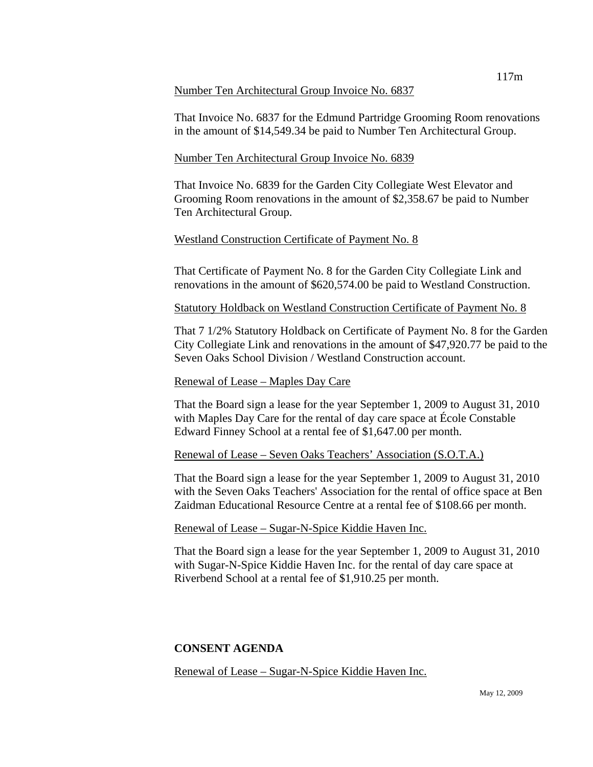#### Number Ten Architectural Group Invoice No. 6837

That Invoice No. 6837 for the Edmund Partridge Grooming Room renovations in the amount of \$14,549.34 be paid to Number Ten Architectural Group.

## Number Ten Architectural Group Invoice No. 6839

That Invoice No. 6839 for the Garden City Collegiate West Elevator and Grooming Room renovations in the amount of \$2,358.67 be paid to Number Ten Architectural Group.

## Westland Construction Certificate of Payment No. 8

That Certificate of Payment No. 8 for the Garden City Collegiate Link and renovations in the amount of \$620,574.00 be paid to Westland Construction.

Statutory Holdback on Westland Construction Certificate of Payment No. 8

That 7 1/2% Statutory Holdback on Certificate of Payment No. 8 for the Garden City Collegiate Link and renovations in the amount of \$47,920.77 be paid to the Seven Oaks School Division / Westland Construction account.

## Renewal of Lease – Maples Day Care

That the Board sign a lease for the year September 1, 2009 to August 31, 2010 with Maples Day Care for the rental of day care space at École Constable Edward Finney School at a rental fee of \$1,647.00 per month.

Renewal of Lease – Seven Oaks Teachers' Association (S.O.T.A.)

That the Board sign a lease for the year September 1, 2009 to August 31, 2010 with the Seven Oaks Teachers' Association for the rental of office space at Ben Zaidman Educational Resource Centre at a rental fee of \$108.66 per month.

Renewal of Lease – Sugar-N-Spice Kiddie Haven Inc.

That the Board sign a lease for the year September 1, 2009 to August 31, 2010 with Sugar-N-Spice Kiddie Haven Inc. for the rental of day care space at Riverbend School at a rental fee of \$1,910.25 per month.

# **CONSENT AGENDA**

Renewal of Lease – Sugar-N-Spice Kiddie Haven Inc.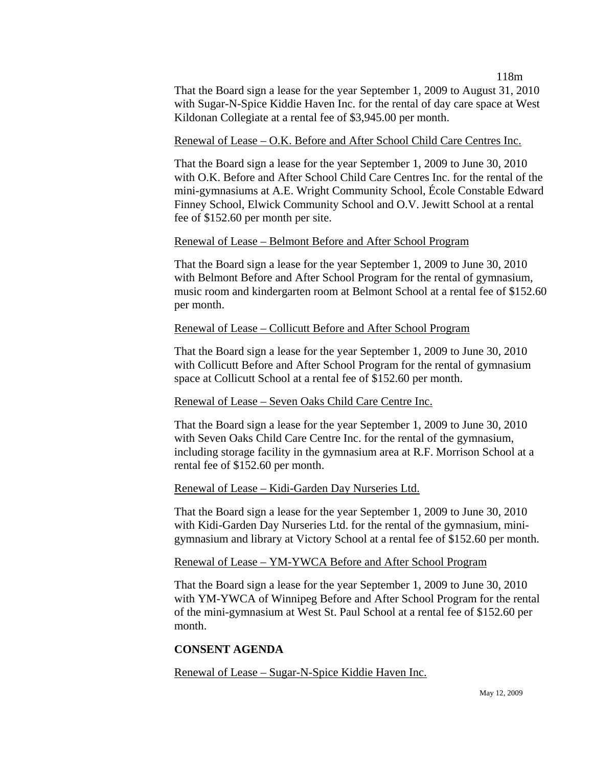118m

That the Board sign a lease for the year September 1, 2009 to August 31, 2010 with Sugar-N-Spice Kiddie Haven Inc. for the rental of day care space at West Kildonan Collegiate at a rental fee of \$3,945.00 per month.

### Renewal of Lease – O.K. Before and After School Child Care Centres Inc.

That the Board sign a lease for the year September 1, 2009 to June 30, 2010 with O.K. Before and After School Child Care Centres Inc. for the rental of the mini-gymnasiums at A.E. Wright Community School, École Constable Edward Finney School, Elwick Community School and O.V. Jewitt School at a rental fee of \$152.60 per month per site.

#### Renewal of Lease – Belmont Before and After School Program

That the Board sign a lease for the year September 1, 2009 to June 30, 2010 with Belmont Before and After School Program for the rental of gymnasium, music room and kindergarten room at Belmont School at a rental fee of \$152.60 per month.

### Renewal of Lease – Collicutt Before and After School Program

That the Board sign a lease for the year September 1, 2009 to June 30, 2010 with Collicutt Before and After School Program for the rental of gymnasium space at Collicutt School at a rental fee of \$152.60 per month.

#### Renewal of Lease – Seven Oaks Child Care Centre Inc.

That the Board sign a lease for the year September 1, 2009 to June 30, 2010 with Seven Oaks Child Care Centre Inc. for the rental of the gymnasium, including storage facility in the gymnasium area at R.F. Morrison School at a rental fee of \$152.60 per month.

#### Renewal of Lease – Kidi-Garden Day Nurseries Ltd.

That the Board sign a lease for the year September 1, 2009 to June 30, 2010 with Kidi-Garden Day Nurseries Ltd. for the rental of the gymnasium, minigymnasium and library at Victory School at a rental fee of \$152.60 per month.

### Renewal of Lease – YM-YWCA Before and After School Program

That the Board sign a lease for the year September 1, 2009 to June 30, 2010 with YM-YWCA of Winnipeg Before and After School Program for the rental of the mini-gymnasium at West St. Paul School at a rental fee of \$152.60 per month.

### **CONSENT AGENDA**

Renewal of Lease – Sugar-N-Spice Kiddie Haven Inc.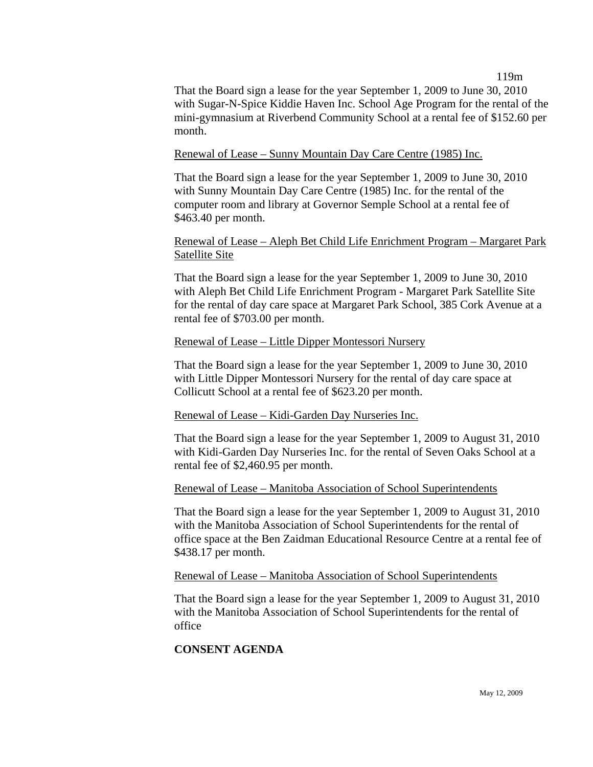119m

That the Board sign a lease for the year September 1, 2009 to June 30, 2010 with Sugar-N-Spice Kiddie Haven Inc. School Age Program for the rental of the mini-gymnasium at Riverbend Community School at a rental fee of \$152.60 per month.

### Renewal of Lease – Sunny Mountain Day Care Centre (1985) Inc.

That the Board sign a lease for the year September 1, 2009 to June 30, 2010 with Sunny Mountain Day Care Centre (1985) Inc. for the rental of the computer room and library at Governor Semple School at a rental fee of \$463.40 per month.

## Renewal of Lease – Aleph Bet Child Life Enrichment Program – Margaret Park Satellite Site

That the Board sign a lease for the year September 1, 2009 to June 30, 2010 with Aleph Bet Child Life Enrichment Program - Margaret Park Satellite Site for the rental of day care space at Margaret Park School, 385 Cork Avenue at a rental fee of \$703.00 per month.

### Renewal of Lease – Little Dipper Montessori Nursery

That the Board sign a lease for the year September 1, 2009 to June 30, 2010 with Little Dipper Montessori Nursery for the rental of day care space at Collicutt School at a rental fee of \$623.20 per month.

### Renewal of Lease – Kidi-Garden Day Nurseries Inc.

That the Board sign a lease for the year September 1, 2009 to August 31, 2010 with Kidi-Garden Day Nurseries Inc. for the rental of Seven Oaks School at a rental fee of \$2,460.95 per month.

### Renewal of Lease – Manitoba Association of School Superintendents

That the Board sign a lease for the year September 1, 2009 to August 31, 2010 with the Manitoba Association of School Superintendents for the rental of office space at the Ben Zaidman Educational Resource Centre at a rental fee of \$438.17 per month.

#### Renewal of Lease – Manitoba Association of School Superintendents

That the Board sign a lease for the year September 1, 2009 to August 31, 2010 with the Manitoba Association of School Superintendents for the rental of office

## **CONSENT AGENDA**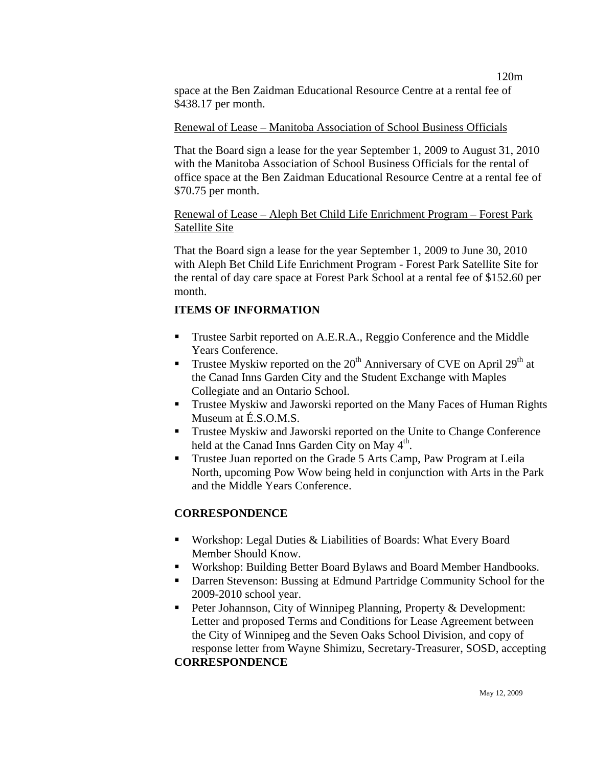space at the Ben Zaidman Educational Resource Centre at a rental fee of \$438.17 per month.

#### Renewal of Lease – Manitoba Association of School Business Officials

That the Board sign a lease for the year September 1, 2009 to August 31, 2010 with the Manitoba Association of School Business Officials for the rental of office space at the Ben Zaidman Educational Resource Centre at a rental fee of \$70.75 per month.

### Renewal of Lease – Aleph Bet Child Life Enrichment Program – Forest Park Satellite Site

That the Board sign a lease for the year September 1, 2009 to June 30, 2010 with Aleph Bet Child Life Enrichment Program - Forest Park Satellite Site for the rental of day care space at Forest Park School at a rental fee of \$152.60 per month.

## **ITEMS OF INFORMATION**

- **Trustee Sarbit reported on A.E.R.A., Reggio Conference and the Middle** Years Conference.
- **Trustee Myskiw reported on the 20<sup>th</sup> Anniversary of CVE on April 29<sup>th</sup> at** the Canad Inns Garden City and the Student Exchange with Maples Collegiate and an Ontario School.
- **Trustee Myskiw and Jaworski reported on the Many Faces of Human Rights** Museum at É.S.O.M.S.
- **Trustee Myskiw and Jaworski reported on the Unite to Change Conference** held at the Canad Inns Garden City on May 4<sup>th</sup>.
- **Trustee Juan reported on the Grade 5 Arts Camp, Paw Program at Leila** North, upcoming Pow Wow being held in conjunction with Arts in the Park and the Middle Years Conference.

## **CORRESPONDENCE**

- Workshop: Legal Duties & Liabilities of Boards: What Every Board Member Should Know.
- Workshop: Building Better Board Bylaws and Board Member Handbooks.
- Darren Stevenson: Bussing at Edmund Partridge Community School for the 2009-2010 school year.
- **Peter Johannson, City of Winnipeg Planning, Property & Development:** Letter and proposed Terms and Conditions for Lease Agreement between the City of Winnipeg and the Seven Oaks School Division, and copy of response letter from Wayne Shimizu, Secretary-Treasurer, SOSD, accepting **CORRESPONDENCE**

120m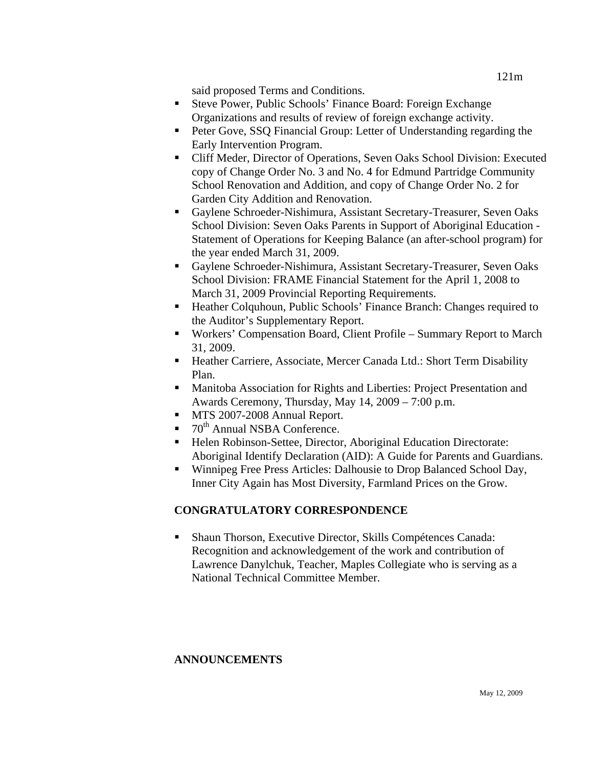said proposed Terms and Conditions.

- Steve Power, Public Schools' Finance Board: Foreign Exchange Organizations and results of review of foreign exchange activity.
- Peter Gove, SSQ Financial Group: Letter of Understanding regarding the Early Intervention Program.
- Cliff Meder, Director of Operations, Seven Oaks School Division: Executed copy of Change Order No. 3 and No. 4 for Edmund Partridge Community School Renovation and Addition, and copy of Change Order No. 2 for Garden City Addition and Renovation.
- Gaylene Schroeder-Nishimura, Assistant Secretary-Treasurer, Seven Oaks School Division: Seven Oaks Parents in Support of Aboriginal Education - Statement of Operations for Keeping Balance (an after-school program) for the year ended March 31, 2009.
- Gaylene Schroeder-Nishimura, Assistant Secretary-Treasurer, Seven Oaks School Division: FRAME Financial Statement for the April 1, 2008 to March 31, 2009 Provincial Reporting Requirements.
- Heather Colquhoun, Public Schools' Finance Branch: Changes required to the Auditor's Supplementary Report.
- Workers' Compensation Board, Client Profile Summary Report to March 31, 2009.
- Heather Carriere, Associate, Mercer Canada Ltd.: Short Term Disability Plan.
- Manitoba Association for Rights and Liberties: Project Presentation and Awards Ceremony, Thursday, May 14, 2009 – 7:00 p.m.
- **MTS 2007-2008 Annual Report.**
- $\blacksquare$  70<sup>th</sup> Annual NSBA Conference.
- Helen Robinson-Settee, Director, Aboriginal Education Directorate: Aboriginal Identify Declaration (AID): A Guide for Parents and Guardians.
- Winnipeg Free Press Articles: Dalhousie to Drop Balanced School Day, Inner City Again has Most Diversity, Farmland Prices on the Grow.

# **CONGRATULATORY CORRESPONDENCE**

 Shaun Thorson, Executive Director, Skills Compétences Canada: Recognition and acknowledgement of the work and contribution of Lawrence Danylchuk, Teacher, Maples Collegiate who is serving as a National Technical Committee Member.

# **ANNOUNCEMENTS**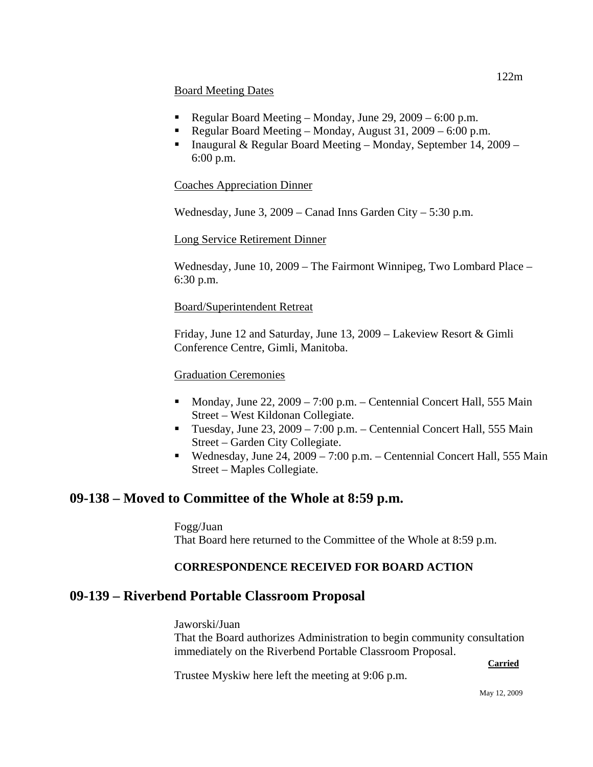### Board Meeting Dates

- Regular Board Meeting Monday, June 29,  $2009 6:00$  p.m.
- Regular Board Meeting Monday, August 31,  $2009 6:00$  p.m.
- **Inaugural & Regular Board Meeting Monday, September 14, 2009** 6:00 p.m.

## Coaches Appreciation Dinner

Wednesday, June 3, 2009 – Canad Inns Garden City – 5:30 p.m.

## Long Service Retirement Dinner

Wednesday, June 10, 2009 – The Fairmont Winnipeg, Two Lombard Place – 6:30 p.m.

## Board/Superintendent Retreat

Friday, June 12 and Saturday, June 13, 2009 – Lakeview Resort & Gimli Conference Centre, Gimli, Manitoba.

## Graduation Ceremonies

- Monday, June 22,  $2009 7:00$  p.m. Centennial Concert Hall, 555 Main Street – West Kildonan Collegiate.
- Tuesday, June 23, 2009 7:00 p.m. Centennial Concert Hall, 555 Main Street – Garden City Collegiate.
- Wednesday, June 24,  $2009 7:00$  p.m. Centennial Concert Hall, 555 Main Street – Maples Collegiate.

# **09-138 – Moved to Committee of the Whole at 8:59 p.m.**

Fogg/Juan That Board here returned to the Committee of the Whole at 8:59 p.m.

# **CORRESPONDENCE RECEIVED FOR BOARD ACTION**

# **09-139 – Riverbend Portable Classroom Proposal**

Jaworski/Juan That the Board authorizes Administration to begin community consultation immediately on the Riverbend Portable Classroom Proposal.

### **Carried**

Trustee Myskiw here left the meeting at 9:06 p.m.